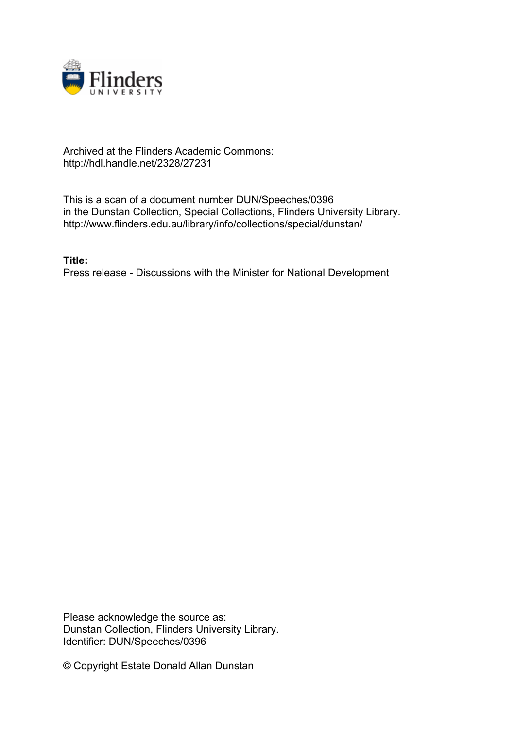

## Archived at the Flinders Academic Commons: http://hdl.handle.net/2328/27231

This is a scan of a document number DUN/Speeches/0396 in the Dunstan Collection, Special Collections, Flinders University Library. http://www.flinders.edu.au/library/info/collections/special/dunstan/

**Title:** Press release - Discussions with the Minister for National Development

Please acknowledge the source as: Dunstan Collection, Flinders University Library. Identifier: DUN/Speeches/0396

© Copyright Estate Donald Allan Dunstan